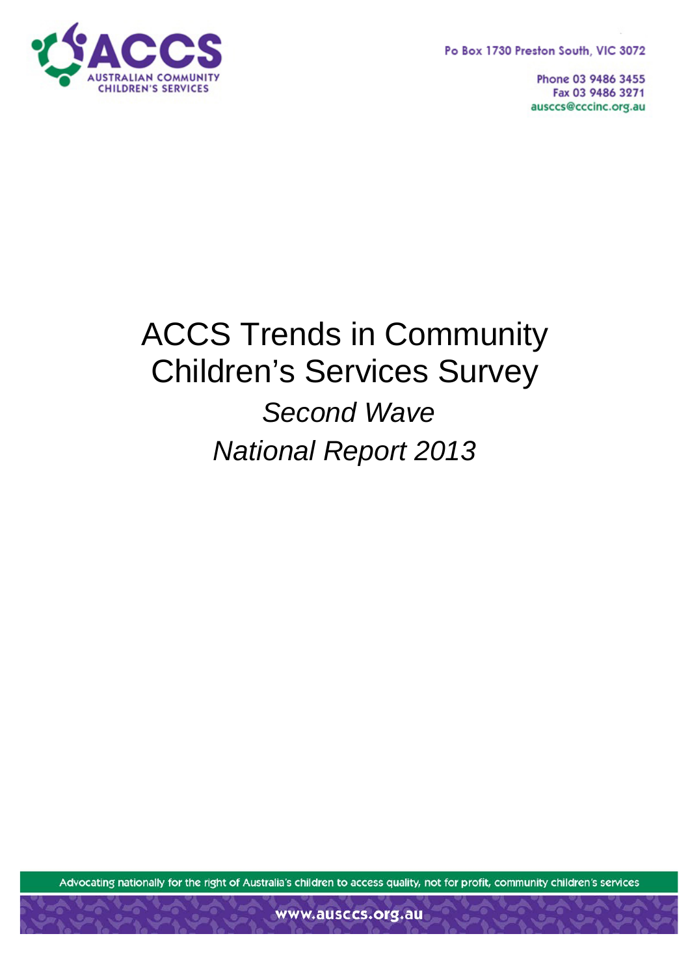Po Box 1730 Preston South, VIC 3072



Phone 03 9486 3455 Fax 03 9486 3271 ausccs@cccinc.org.au

# ACCS Trends in Community Children's Services Survey *Second Wave National Report 2013*

Advocating nationally for the right of Australia's children to access quality, not for profit, community children's services

www.ausccs.org.au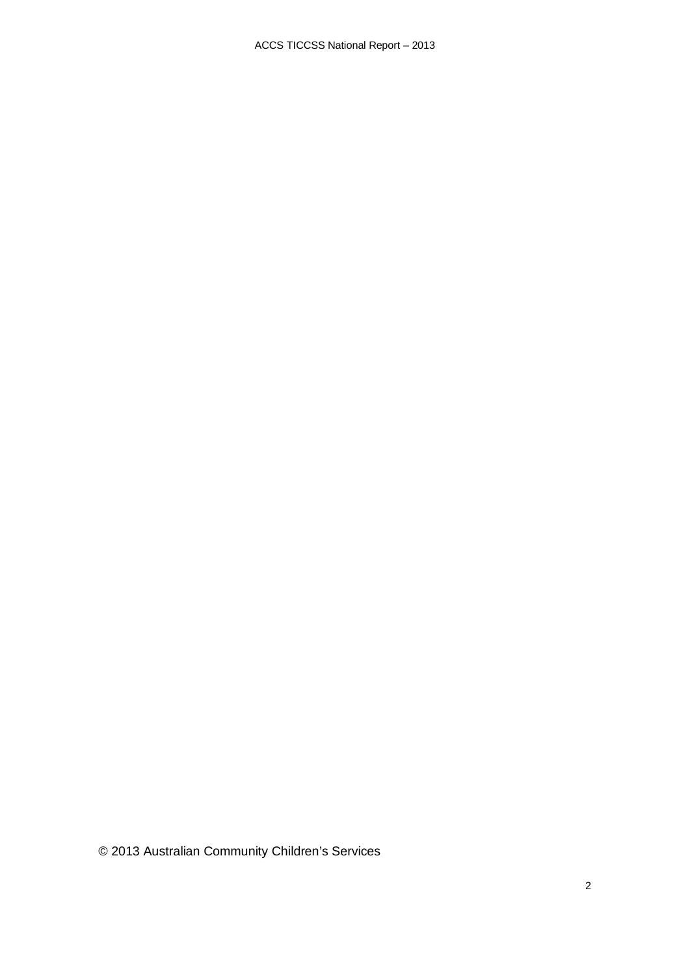© 2013 Australian Community Children's Services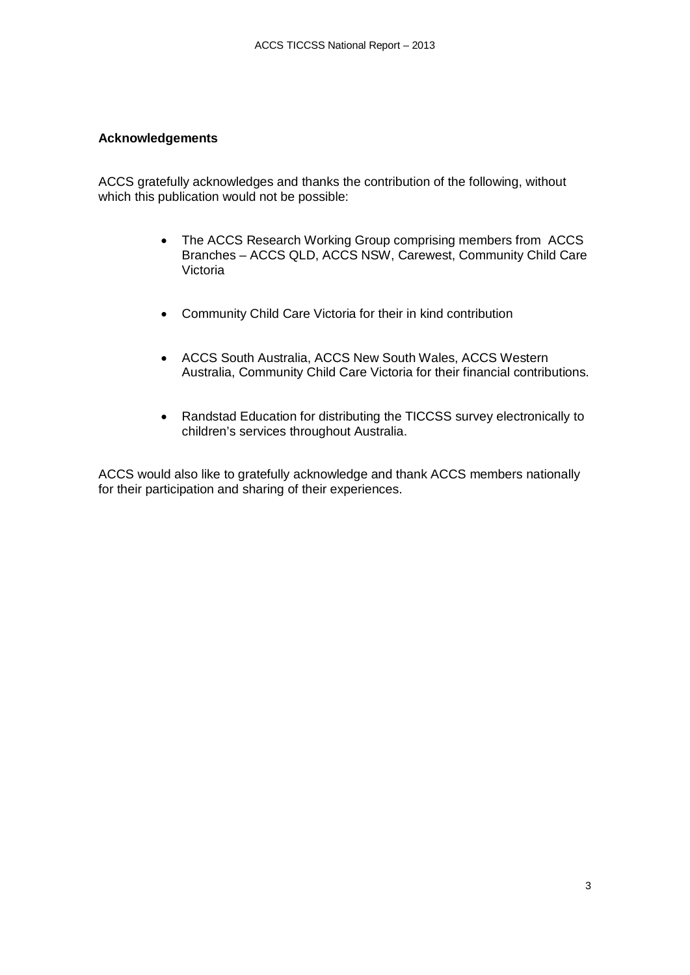#### **Acknowledgements**

ACCS gratefully acknowledges and thanks the contribution of the following, without which this publication would not be possible:

- The ACCS Research Working Group comprising members from ACCS Branches – ACCS QLD, ACCS NSW, Carewest, Community Child Care Victoria
- Community Child Care Victoria for their in kind contribution
- ACCS South Australia, ACCS New South Wales, ACCS Western Australia, Community Child Care Victoria for their financial contributions.
- Randstad Education for distributing the TICCSS survey electronically to children's services throughout Australia.

ACCS would also like to gratefully acknowledge and thank ACCS members nationally for their participation and sharing of their experiences.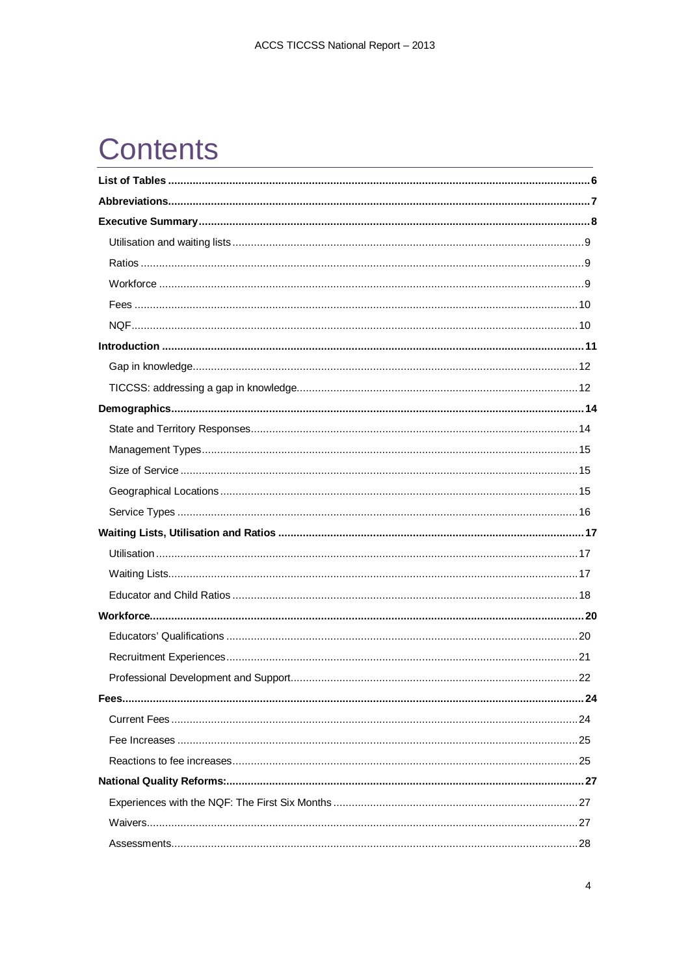# **Contents**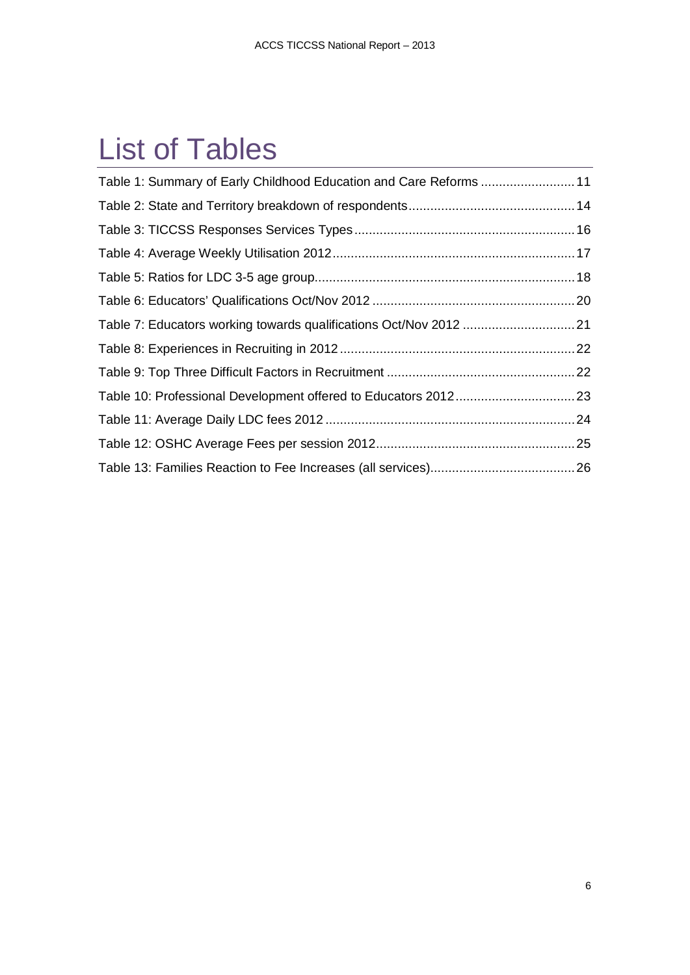# <span id="page-5-0"></span>List of Tables

| Table 1: Summary of Early Childhood Education and Care Reforms  11 |  |
|--------------------------------------------------------------------|--|
|                                                                    |  |
|                                                                    |  |
|                                                                    |  |
|                                                                    |  |
|                                                                    |  |
|                                                                    |  |
|                                                                    |  |
|                                                                    |  |
|                                                                    |  |
|                                                                    |  |
|                                                                    |  |
|                                                                    |  |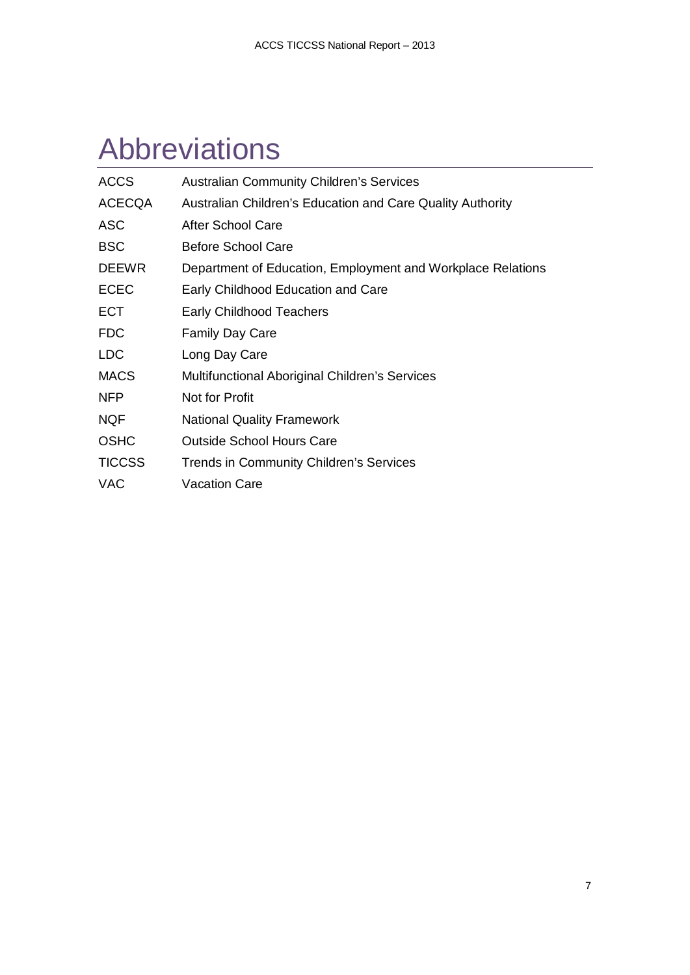# <span id="page-6-0"></span>Abbreviations

| <b>ACCS</b>   | <b>Australian Community Children's Services</b>             |
|---------------|-------------------------------------------------------------|
| <b>ACECQA</b> | Australian Children's Education and Care Quality Authority  |
| <b>ASC</b>    | After School Care                                           |
| <b>BSC</b>    | <b>Before School Care</b>                                   |
| <b>DEEWR</b>  | Department of Education, Employment and Workplace Relations |
| <b>ECEC</b>   | Early Childhood Education and Care                          |
| <b>ECT</b>    | <b>Early Childhood Teachers</b>                             |
| <b>FDC</b>    | <b>Family Day Care</b>                                      |
| <b>LDC</b>    | Long Day Care                                               |
| <b>MACS</b>   | Multifunctional Aboriginal Children's Services              |
| <b>NFP</b>    | Not for Profit                                              |
| <b>NQF</b>    | <b>National Quality Framework</b>                           |
| <b>OSHC</b>   | <b>Outside School Hours Care</b>                            |
| <b>TICCSS</b> | Trends in Community Children's Services                     |
| <b>VAC</b>    | <b>Vacation Care</b>                                        |
|               |                                                             |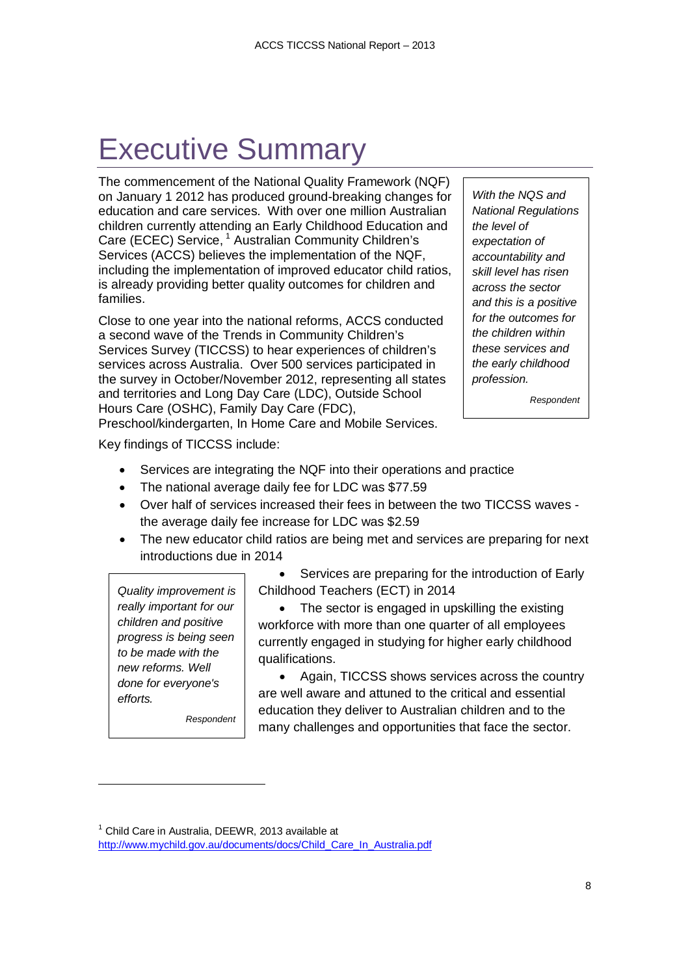# <span id="page-7-0"></span>Executive Summary

The commencement of the National Quality Framework (NQF) on January 1 2012 has produced ground-breaking changes for education and care services. With over one million Australian children currently attending an Early Childhood Education and Care (ECEC) Service, <sup>[1](#page-7-1)</sup> Australian Community Children's Services (ACCS) believes the implementation of the NQF, including the implementation of improved educator child ratios, is already providing better quality outcomes for children and families.

Close to one year into the national reforms, ACCS conducted a second wave of the Trends in Community Children's Services Survey (TICCSS) to hear experiences of children's services across Australia. Over 500 services participated in the survey in October/November 2012, representing all states and territories and Long Day Care (LDC), Outside School Hours Care (OSHC), Family Day Care (FDC),

*With the NQS and National Regulations the level of expectation of accountability and skill level has risen across the sector and this is a positive for the outcomes for the children within these services and the early childhood profession.*

*Respondent*

Preschool/kindergarten, In Home Care and Mobile Services.

Key findings of TICCSS include:

- Services are integrating the NQF into their operations and practice
- The national average daily fee for LDC was \$77.59
- Over half of services increased their fees in between the two TICCSS waves the average daily fee increase for LDC was \$2.59
- The new educator child ratios are being met and services are preparing for next introductions due in 2014

*Quality improvement is really important for our children and positive progress is being seen to be made with the new reforms. Well done for everyone's efforts.*

j

*Respondent*

Services are preparing for the introduction of Early Childhood Teachers (ECT) in 2014

The sector is engaged in upskilling the existing workforce with more than one quarter of all employees currently engaged in studying for higher early childhood qualifications.

• Again, TICCSS shows services across the country are well aware and attuned to the critical and essential education they deliver to Australian children and to the many challenges and opportunities that face the sector.

<span id="page-7-1"></span> $1$  Child Care in Australia, DEEWR, 2013 available at

[http://www.mychild.gov.au/documents/docs/Child\\_Care\\_In\\_Australia.pdf](http://www.mychild.gov.au/documents/docs/Child_Care_In_Australia.pdf)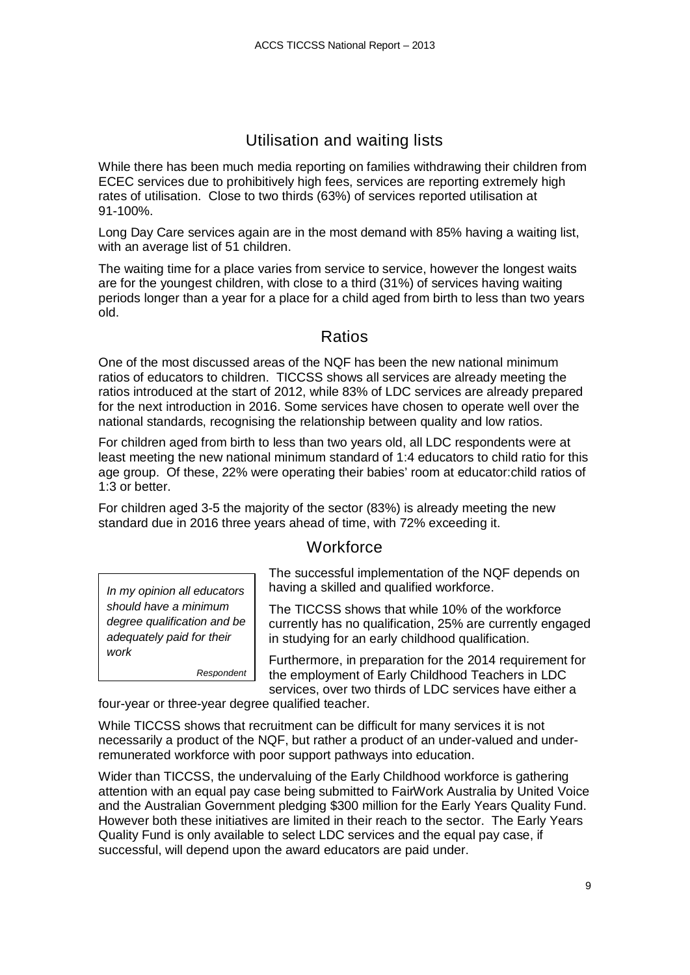## Utilisation and waiting lists

<span id="page-8-0"></span>While there has been much media reporting on families withdrawing their children from ECEC services due to prohibitively high fees, services are reporting extremely high rates of utilisation. Close to two thirds (63%) of services reported utilisation at 91-100%.

Long Day Care services again are in the most demand with 85% having a waiting list, with an average list of 51 children.

The waiting time for a place varies from service to service, however the longest waits are for the youngest children, with close to a third (31%) of services having waiting periods longer than a year for a place for a child aged from birth to less than two years old.

### Ratios

<span id="page-8-1"></span>One of the most discussed areas of the NQF has been the new national minimum ratios of educators to children. TICCSS shows all services are already meeting the ratios introduced at the start of 2012, while 83% of LDC services are already prepared for the next introduction in 2016. Some services have chosen to operate well over the national standards, recognising the relationship between quality and low ratios.

For children aged from birth to less than two years old, all LDC respondents were at least meeting the new national minimum standard of 1:4 educators to child ratio for this age group. Of these, 22% were operating their babies' room at educator:child ratios of 1:3 or better.

<span id="page-8-2"></span>For children aged 3-5 the majority of the sector (83%) is already meeting the new standard due in 2016 three years ahead of time, with 72% exceeding it.

### **Workforce**

*In my opinion all educators should have a minimum degree qualification and be adequately paid for their work*

*Respondent*

The successful implementation of the NQF depends on having a skilled and qualified workforce.

The TICCSS shows that while 10% of the workforce currently has no qualification, 25% are currently engaged in studying for an early childhood qualification.

Furthermore, in preparation for the 2014 requirement for the employment of Early Childhood Teachers in LDC services, over two thirds of LDC services have either a

four-year or three-year degree qualified teacher.

While TICCSS shows that recruitment can be difficult for many services it is not necessarily a product of the NQF, but rather a product of an under-valued and underremunerated workforce with poor support pathways into education.

Wider than TICCSS, the undervaluing of the Early Childhood workforce is gathering attention with an equal pay case being submitted to FairWork Australia by United Voice and the Australian Government pledging \$300 million for the Early Years Quality Fund. However both these initiatives are limited in their reach to the sector. The Early Years Quality Fund is only available to select LDC services and the equal pay case, if successful, will depend upon the award educators are paid under.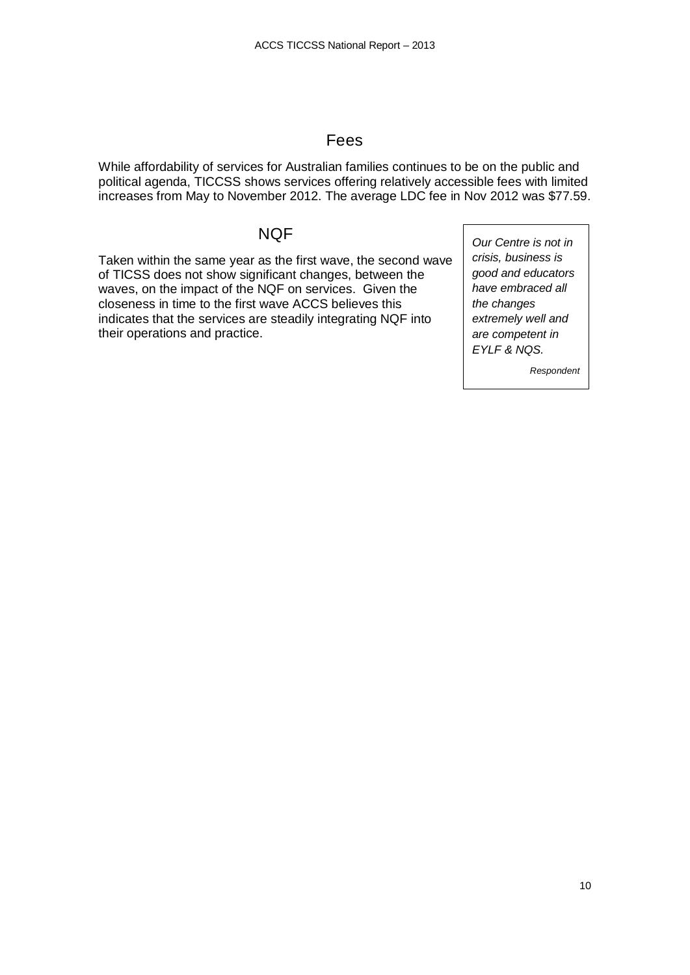#### Fees

<span id="page-9-0"></span>While affordability of services for Australian families continues to be on the public and political agenda, TICCSS shows services offering relatively accessible fees with limited increases from May to November 2012. The average LDC fee in Nov 2012 was \$77.59.

#### NQF

<span id="page-9-1"></span>Taken within the same year as the first wave, the second wave of TICSS does not show significant changes, between the waves, on the impact of the NQF on services. Given the closeness in time to the first wave ACCS believes this indicates that the services are steadily integrating NQF into their operations and practice.

*Our Centre is not in crisis, business is good and educators have embraced all the changes extremely well and are competent in EYLF & NQS.*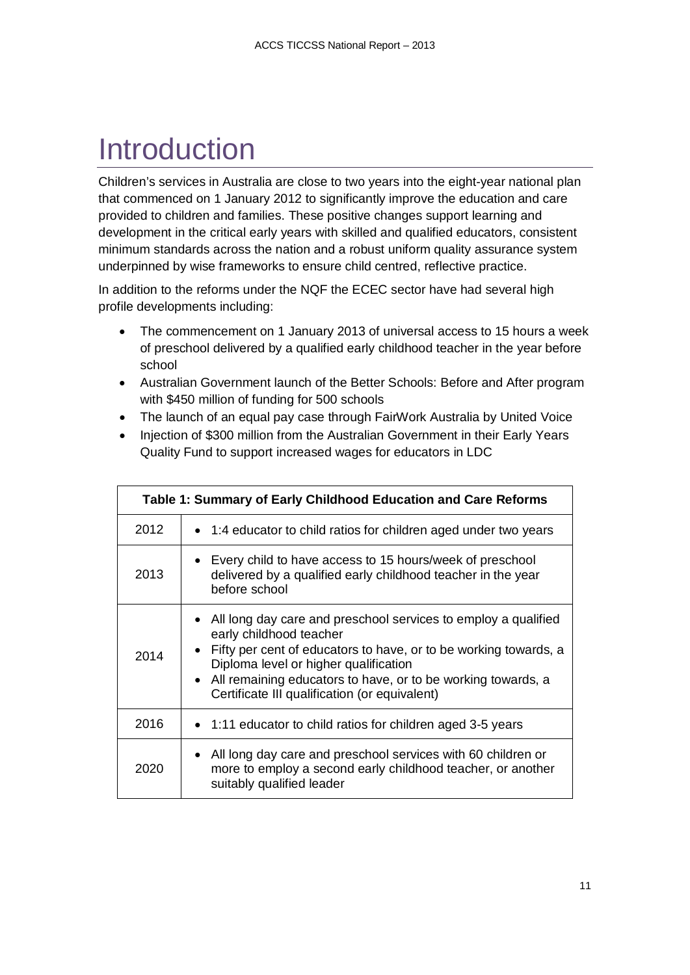# <span id="page-10-0"></span>Introduction

Children's services in Australia are close to two years into the eight-year national plan that commenced on 1 January 2012 to significantly improve the education and care provided to children and families. These positive changes support learning and development in the critical early years with skilled and qualified educators, consistent minimum standards across the nation and a robust uniform quality assurance system underpinned by wise frameworks to ensure child centred, reflective practice.

In addition to the reforms under the NQF the ECEC sector have had several high profile developments including:

- The commencement on 1 January 2013 of universal access to 15 hours a week of preschool delivered by a qualified early childhood teacher in the year before school
- Australian Government launch of the Better Schools: Before and After program with \$450 million of funding for 500 schools
- The launch of an equal pay case through FairWork Australia by United Voice
- Injection of \$300 million from the Australian Government in their Early Years Quality Fund to support increased wages for educators in LDC

<span id="page-10-1"></span>

|      | Table 1: Summary of Early Childhood Education and Care Reforms                                                                                                                                                                                                                                                                |
|------|-------------------------------------------------------------------------------------------------------------------------------------------------------------------------------------------------------------------------------------------------------------------------------------------------------------------------------|
| 2012 | • 1:4 educator to child ratios for children aged under two years                                                                                                                                                                                                                                                              |
| 2013 | • Every child to have access to 15 hours/week of preschool<br>delivered by a qualified early childhood teacher in the year<br>before school                                                                                                                                                                                   |
| 2014 | • All long day care and preschool services to employ a qualified<br>early childhood teacher<br>• Fifty per cent of educators to have, or to be working towards, a<br>Diploma level or higher qualification<br>• All remaining educators to have, or to be working towards, a<br>Certificate III qualification (or equivalent) |
| 2016 | • 1:11 educator to child ratios for children aged 3-5 years                                                                                                                                                                                                                                                                   |
| 2020 | • All long day care and preschool services with 60 children or<br>more to employ a second early childhood teacher, or another<br>suitably qualified leader                                                                                                                                                                    |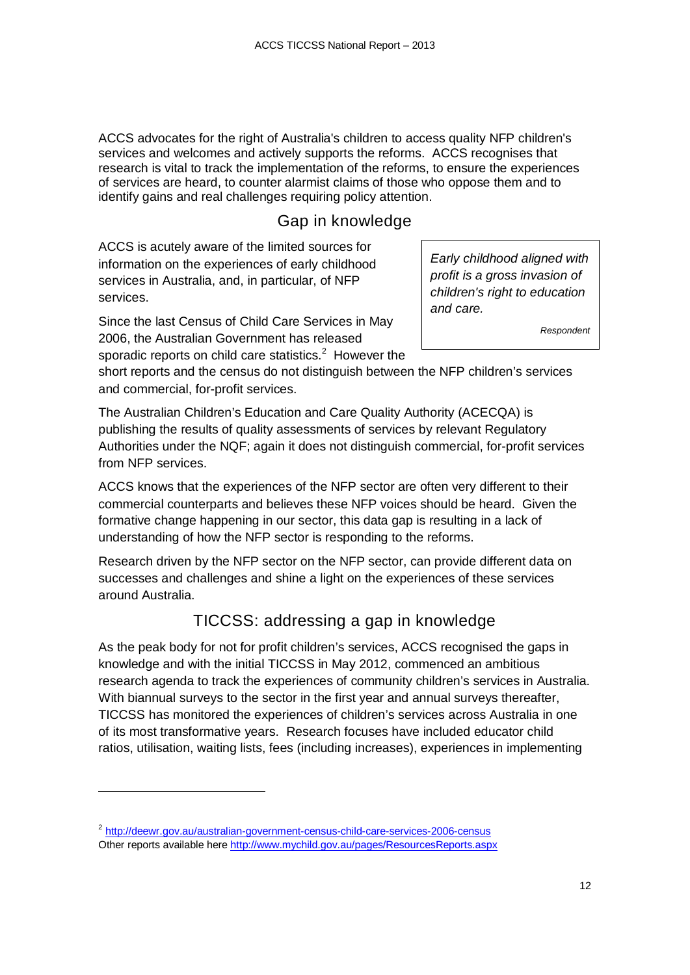ACCS advocates for the right of Australia's children to access quality NFP children's services and welcomes and actively supports the reforms. ACCS recognises that research is vital to track the implementation of the reforms, to ensure the experiences of services are heard, to counter alarmist claims of those who oppose them and to identify gains and real challenges requiring policy attention.

## Gap in knowledge

<span id="page-11-0"></span>ACCS is acutely aware of the limited sources for information on the experiences of early childhood services in Australia, and, in particular, of NFP services.

Since the last Census of Child Care Services in May 2006, the Australian Government has released sporadic reports on child care statistics.<sup>[2](#page-11-2)</sup> However the *Early childhood aligned with profit is a gross invasion of children's right to education and care.*

*Respondent*

short reports and the census do not distinguish between the NFP children's services and commercial, for-profit services.

The Australian Children's Education and Care Quality Authority (ACECQA) is publishing the results of quality assessments of services by relevant Regulatory Authorities under the NQF; again it does not distinguish commercial, for-profit services from NFP services.

ACCS knows that the experiences of the NFP sector are often very different to their commercial counterparts and believes these NFP voices should be heard. Given the formative change happening in our sector, this data gap is resulting in a lack of understanding of how the NFP sector is responding to the reforms.

Research driven by the NFP sector on the NFP sector, can provide different data on successes and challenges and shine a light on the experiences of these services around Australia.

# TICCSS: addressing a gap in knowledge

<span id="page-11-1"></span>As the peak body for not for profit children's services, ACCS recognised the gaps in knowledge and with the initial TICCSS in May 2012, commenced an ambitious research agenda to track the experiences of community children's services in Australia. With biannual surveys to the sector in the first year and annual surveys thereafter, TICCSS has monitored the experiences of children's services across Australia in one of its most transformative years. Research focuses have included educator child ratios, utilisation, waiting lists, fees (including increases), experiences in implementing

j

<span id="page-11-2"></span><sup>&</sup>lt;sup>2</sup> <http://deewr.gov.au/australian-government-census-child-care-services-2006-census> Other reports available here<http://www.mychild.gov.au/pages/ResourcesReports.aspx>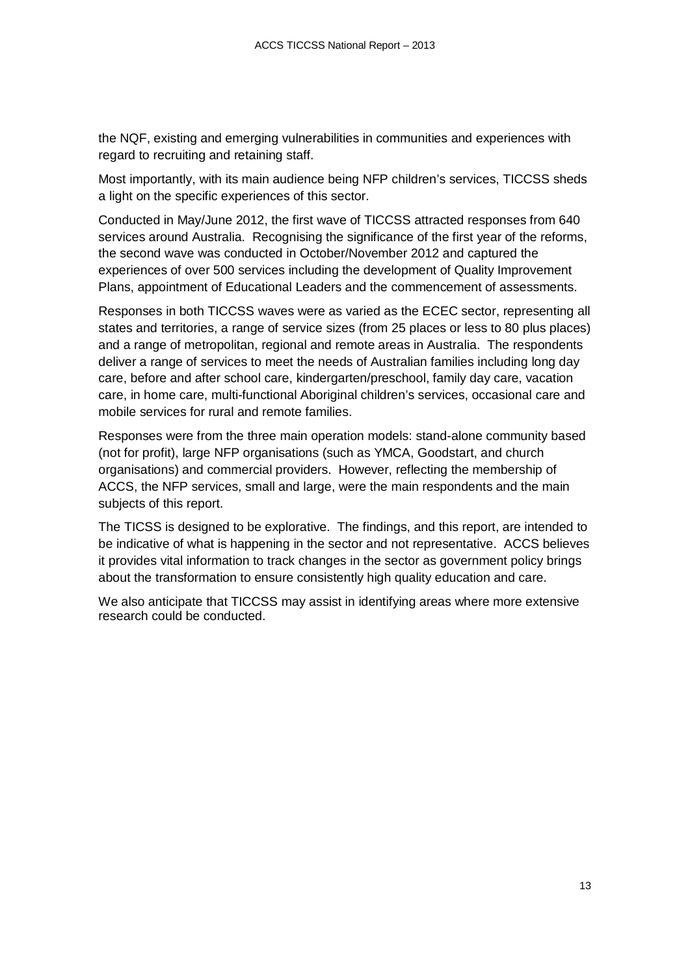the NQF, existing and emerging vulnerabilities in communities and experiences with regard to recruiting and retaining staff.

Most importantly, with its main audience being NFP children's services, TICCSS sheds a light on the specific experiences of this sector.

Conducted in May/June 2012, the first wave of TICCSS attracted responses from 640 services around Australia. Recognising the significance of the first year of the reforms, the second wave was conducted in October/November 2012 and captured the experiences of over 500 services including the development of Quality Improvement Plans, appointment of Educational Leaders and the commencement of assessments.

Responses in both TICCSS waves were as varied as the ECEC sector, representing all states and territories, a range of service sizes (from 25 places or less to 80 plus places) and a range of metropolitan, regional and remote areas in Australia. The respondents deliver a range of services to meet the needs of Australian families including long day care, before and after school care, kindergarten/preschool, family day care, vacation care, in home care, multi-functional Aboriginal children's services, occasional care and mobile services for rural and remote families.

Responses were from the three main operation models: stand-alone community based (not for profit), large NFP organisations (such as YMCA, Goodstart, and church organisations) and commercial providers. However, reflecting the membership of ACCS, the NFP services, small and large, were the main respondents and the main subjects of this report.

The TICSS is designed to be explorative. The findings, and this report, are intended to be indicative of what is happening in the sector and not representative. ACCS believes it provides vital information to track changes in the sector as government policy brings about the transformation to ensure consistently high quality education and care.

We also anticipate that TICCSS may assist in identifying areas where more extensive research could be conducted.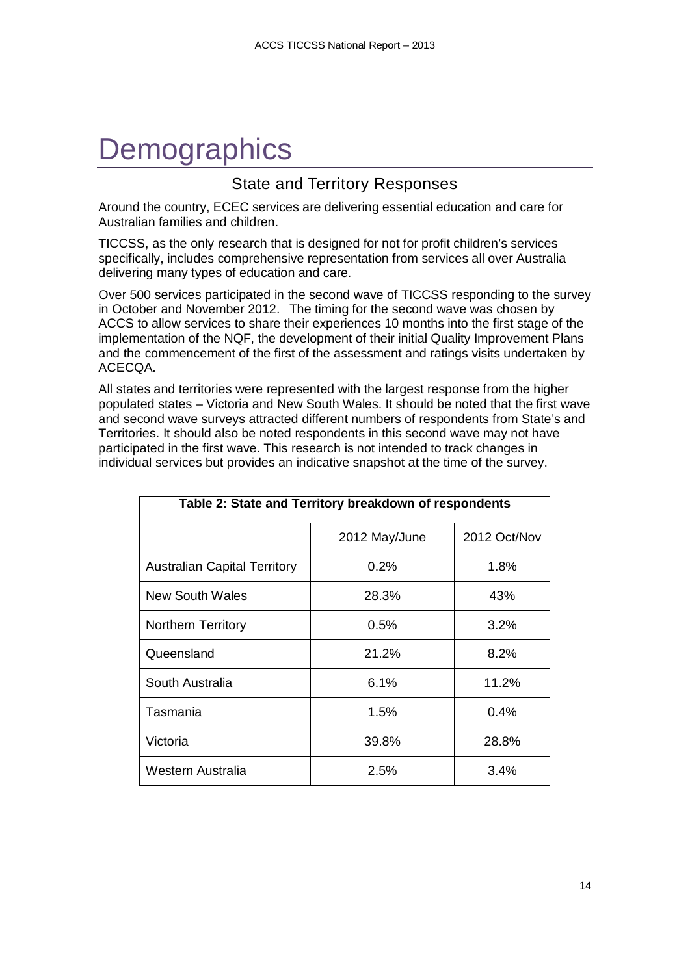# <span id="page-13-0"></span>**Demographics**

### State and Territory Responses

<span id="page-13-1"></span>Around the country, ECEC services are delivering essential education and care for Australian families and children.

TICCSS, as the only research that is designed for not for profit children's services specifically, includes comprehensive representation from services all over Australia delivering many types of education and care.

Over 500 services participated in the second wave of TICCSS responding to the survey in October and November 2012. The timing for the second wave was chosen by ACCS to allow services to share their experiences 10 months into the first stage of the implementation of the NQF, the development of their initial Quality Improvement Plans and the commencement of the first of the assessment and ratings visits undertaken by ACECQA.

All states and territories were represented with the largest response from the higher populated states – Victoria and New South Wales. It should be noted that the first wave and second wave surveys attracted different numbers of respondents from State's and Territories. It should also be noted respondents in this second wave may not have participated in the first wave. This research is not intended to track changes in individual services but provides an indicative snapshot at the time of the survey.

<span id="page-13-2"></span>

| Table 2: State and Territory breakdown of respondents |               |              |  |
|-------------------------------------------------------|---------------|--------------|--|
|                                                       | 2012 May/June | 2012 Oct/Nov |  |
| <b>Australian Capital Territory</b>                   | 0.2%          | 1.8%         |  |
| New South Wales                                       | 28.3%         | 43%          |  |
| <b>Northern Territory</b>                             | 0.5%          | 3.2%         |  |
| Queensland                                            | 21.2%         | 8.2%         |  |
| South Australia                                       | 6.1%          | 11.2%        |  |
| Tasmania                                              | 1.5%          | 0.4%         |  |
| Victoria                                              | 39.8%         | 28.8%        |  |
| Western Australia                                     | 2.5%          | 3.4%         |  |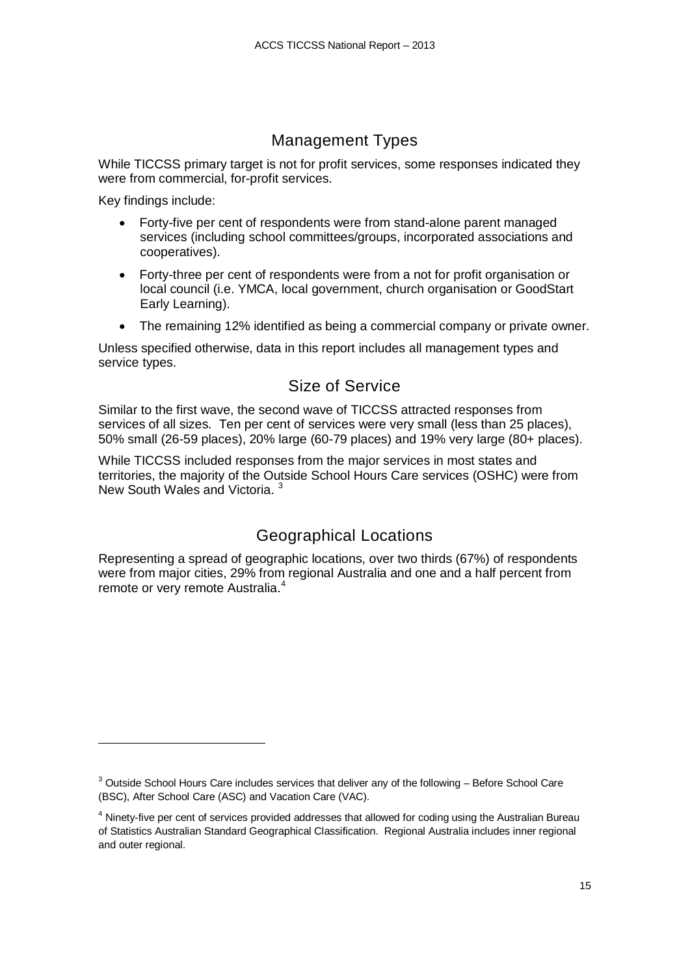## Management Types

<span id="page-14-0"></span>While TICCSS primary target is not for profit services, some responses indicated they were from commercial, for-profit services.

Key findings include:

-

- Forty-five per cent of respondents were from stand-alone parent managed services (including school committees/groups, incorporated associations and cooperatives).
- Forty-three per cent of respondents were from a not for profit organisation or local council (i.e. YMCA, local government, church organisation or GoodStart Early Learning).
- The remaining 12% identified as being a commercial company or private owner.

Unless specified otherwise, data in this report includes all management types and service types.

### Size of Service

<span id="page-14-1"></span>Similar to the first wave, the second wave of TICCSS attracted responses from services of all sizes. Ten per cent of services were very small (less than 25 places), 50% small (26-59 places), 20% large (60-79 places) and 19% very large (80+ places).

While TICCSS included responses from the major services in most states and territories, the majority of the Outside School Hours Care services (OSHC) were from New South Wales and Victoria. [3](#page-14-3)

### Geographical Locations

<span id="page-14-2"></span>Representing a spread of geographic locations, over two thirds (67%) of respondents were from major cities, 29% from regional Australia and one and a half percent from remote or very remote Australia.<sup>[4](#page-14-4)</sup>

<span id="page-14-3"></span> $3$  Outside School Hours Care includes services that deliver any of the following – Before School Care (BSC), After School Care (ASC) and Vacation Care (VAC).

<span id="page-14-4"></span><sup>&</sup>lt;sup>4</sup> Ninety-five per cent of services provided addresses that allowed for coding using the Australian Bureau of Statistics Australian Standard Geographical Classification. Regional Australia includes inner regional and outer regional.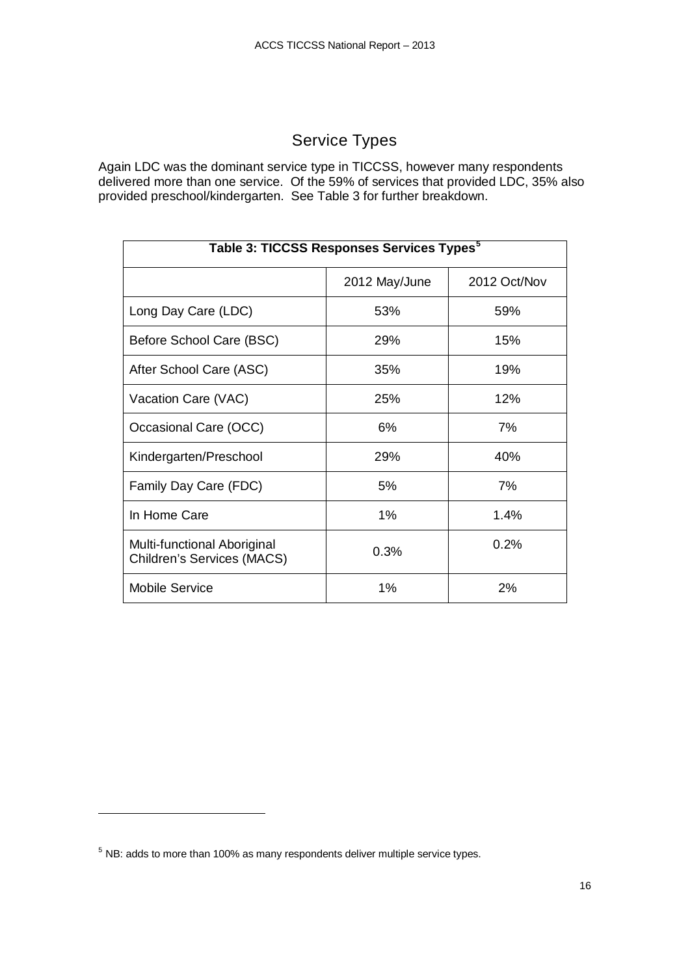# Service Types

<span id="page-15-0"></span>Again LDC was the dominant service type in TICCSS, however many respondents delivered more than one service. Of the 59% of services that provided LDC, 35% also provided preschool/kindergarten. See Table 3 for further breakdown.

<span id="page-15-1"></span>

| Table 3: TICCSS Responses Services Types <sup>5</sup>            |               |              |  |
|------------------------------------------------------------------|---------------|--------------|--|
|                                                                  | 2012 May/June | 2012 Oct/Nov |  |
| Long Day Care (LDC)                                              | 53%           | 59%          |  |
| Before School Care (BSC)                                         | <b>29%</b>    | 15%          |  |
| After School Care (ASC)                                          | 35%           | 19%          |  |
| Vacation Care (VAC)                                              | 25%           | 12%          |  |
| Occasional Care (OCC)                                            | 6%            | 7%           |  |
| Kindergarten/Preschool                                           | 29%           | 40%          |  |
| Family Day Care (FDC)                                            | 5%            | 7%           |  |
| In Home Care                                                     | 1%            | 1.4%         |  |
| Multi-functional Aboriginal<br><b>Children's Services (MACS)</b> | 0.3%          | 0.2%         |  |
| <b>Mobile Service</b>                                            | 1%            | 2%           |  |

j

<span id="page-15-2"></span> $5$  NB: adds to more than 100% as many respondents deliver multiple service types.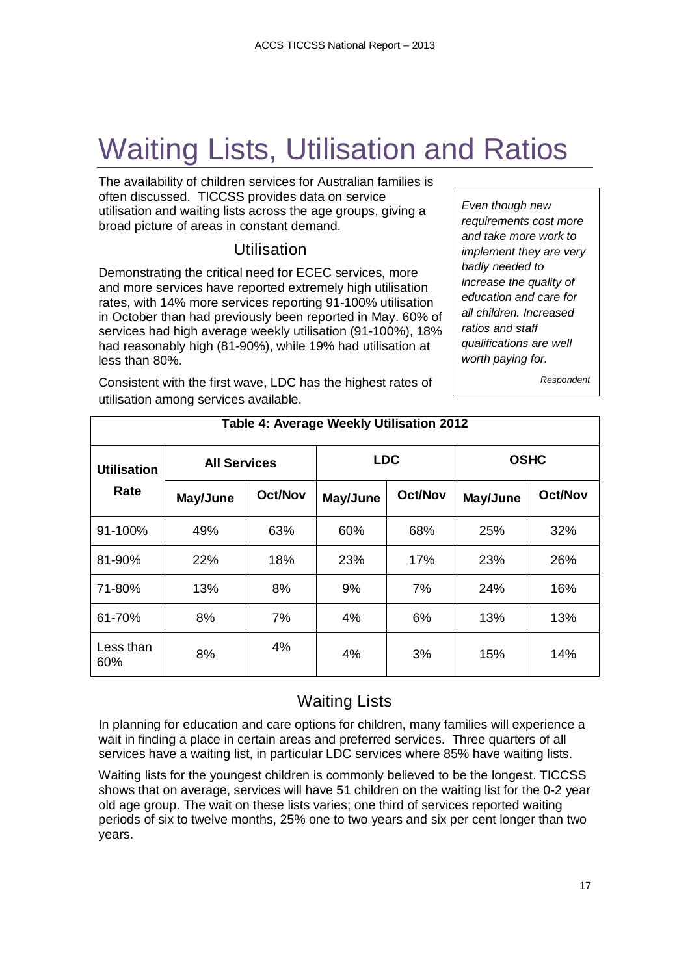# <span id="page-16-0"></span>Waiting Lists, Utilisation and Ratios

The availability of children services for Australian families is often discussed. TICCSS provides data on service utilisation and waiting lists across the age groups, giving a broad picture of areas in constant demand.

## Utilisation

<span id="page-16-1"></span>Demonstrating the critical need for ECEC services, more and more services have reported extremely high utilisation rates, with 14% more services reporting 91-100% utilisation in October than had previously been reported in May. 60% of services had high average weekly utilisation (91-100%), 18% had reasonably high (81-90%), while 19% had utilisation at less than 80%.

Consistent with the first wave, LDC has the highest rates of utilisation among services available.

*Even though new requirements cost more and take more work to implement they are very badly needed to increase the quality of education and care for all children. Increased ratios and staff qualifications are well worth paying for.*

*Respondent*

<span id="page-16-3"></span>

| Table 4: Average Weekly Utilisation 2012 |                     |                |            |                |             |         |
|------------------------------------------|---------------------|----------------|------------|----------------|-------------|---------|
| <b>Utilisation</b>                       | <b>All Services</b> |                | <b>LDC</b> |                | <b>OSHC</b> |         |
| Rate                                     | May/June            | <b>Oct/Nov</b> | May/June   | <b>Oct/Nov</b> | May/June    | Oct/Nov |
| 91-100%                                  | 49%                 | 63%            | 60%        | 68%            | 25%         | 32%     |
| 81-90%                                   | 22%                 | 18%            | 23%        | 17%            | 23%         | 26%     |
| 71-80%                                   | 13%                 | 8%             | 9%         | 7%             | 24%         | 16%     |
| 61-70%                                   | 8%                  | 7%             | 4%         | 6%             | 13%         | 13%     |
| Less than<br>60%                         | 8%                  | 4%             | 4%         | 3%             | 15%         | 14%     |

# Waiting Lists

<span id="page-16-2"></span>In planning for education and care options for children, many families will experience a wait in finding a place in certain areas and preferred services. Three quarters of all services have a waiting list, in particular LDC services where 85% have waiting lists.

Waiting lists for the youngest children is commonly believed to be the longest. TICCSS shows that on average, services will have 51 children on the waiting list for the 0-2 year old age group. The wait on these lists varies; one third of services reported waiting periods of six to twelve months, 25% one to two years and six per cent longer than two years.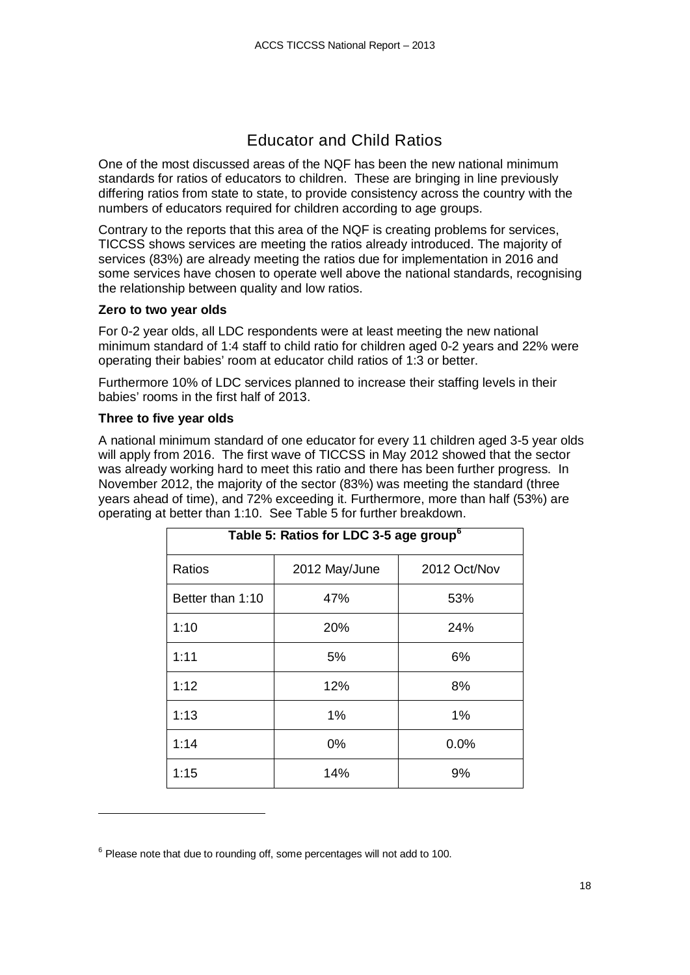## Educator and Child Ratios

<span id="page-17-0"></span>One of the most discussed areas of the NQF has been the new national minimum standards for ratios of educators to children. These are bringing in line previously differing ratios from state to state, to provide consistency across the country with the numbers of educators required for children according to age groups.

Contrary to the reports that this area of the NQF is creating problems for services, TICCSS shows services are meeting the ratios already introduced. The majority of services (83%) are already meeting the ratios due for implementation in 2016 and some services have chosen to operate well above the national standards, recognising the relationship between quality and low ratios.

#### **Zero to two year olds**

For 0-2 year olds, all LDC respondents were at least meeting the new national minimum standard of 1:4 staff to child ratio for children aged 0-2 years and 22% were operating their babies' room at educator child ratios of 1:3 or better.

Furthermore 10% of LDC services planned to increase their staffing levels in their babies' rooms in the first half of 2013.

#### **Three to five year olds**

j

A national minimum standard of one educator for every 11 children aged 3-5 year olds will apply from 2016. The first wave of TICCSS in May 2012 showed that the sector was already working hard to meet this ratio and there has been further progress. In November 2012, the majority of the sector (83%) was meeting the standard (three years ahead of time), and 72% exceeding it. Furthermore, more than half (53%) are operating at better than 1:10. See Table 5 for further breakdown.

<span id="page-17-1"></span>

| Table 5: Ratios for LDC 3-5 age group <sup>6</sup> |                               |      |  |
|----------------------------------------------------|-------------------------------|------|--|
| Ratios                                             | 2012 Oct/Nov<br>2012 May/June |      |  |
| Better than 1:10                                   | 47%                           | 53%  |  |
| 1:10                                               | 20%                           | 24%  |  |
| 1:11                                               | 5%                            | 6%   |  |
| 1:12                                               | 12%                           | 8%   |  |
| 1:13                                               | 1%                            | 1%   |  |
| 1:14                                               | 0%                            | 0.0% |  |
| 1:15                                               | 14%                           | 9%   |  |

<span id="page-17-2"></span> $6$  Please note that due to rounding off, some percentages will not add to 100.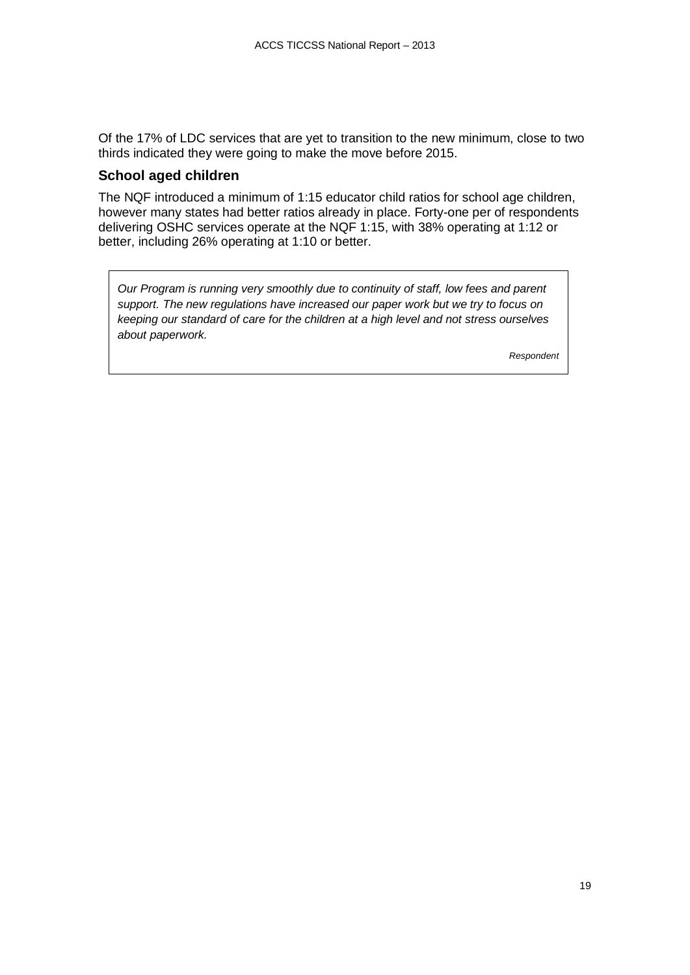Of the 17% of LDC services that are yet to transition to the new minimum, close to two thirds indicated they were going to make the move before 2015.

#### **School aged children**

The NQF introduced a minimum of 1:15 educator child ratios for school age children, however many states had better ratios already in place. Forty-one per of respondents delivering OSHC services operate at the NQF 1:15, with 38% operating at 1:12 or better, including 26% operating at 1:10 or better.

*Our Program is running very smoothly due to continuity of staff, low fees and parent support. The new regulations have increased our paper work but we try to focus on keeping our standard of care for the children at a high level and not stress ourselves about paperwork.*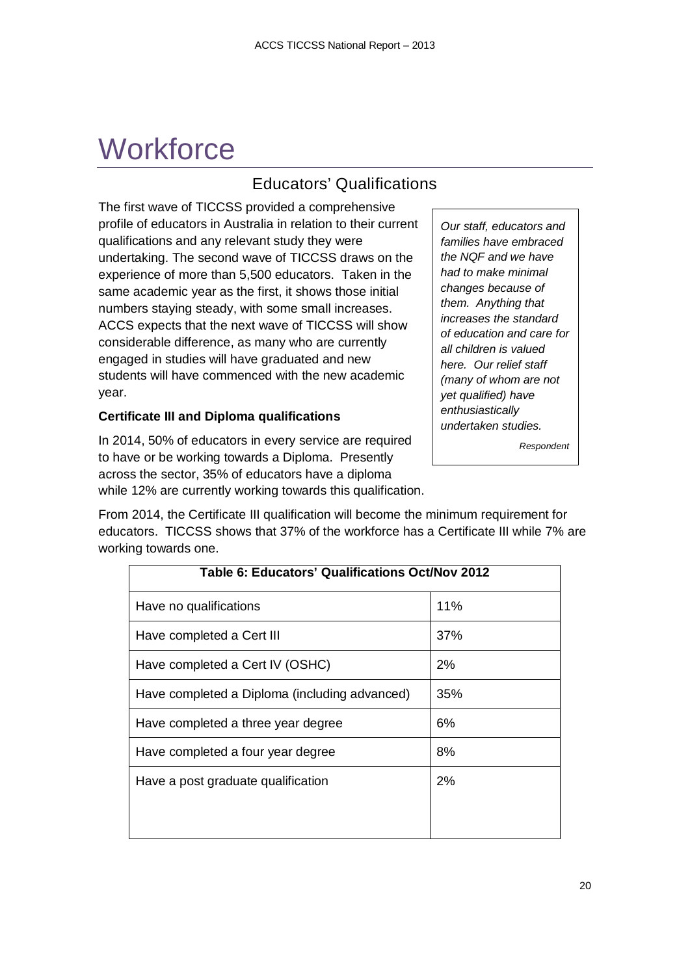# <span id="page-19-0"></span>**Workforce**

# Educators' Qualifications

<span id="page-19-1"></span>The first wave of TICCSS provided a comprehensive profile of educators in Australia in relation to their current qualifications and any relevant study they were undertaking. The second wave of TICCSS draws on the experience of more than 5,500 educators. Taken in the same academic year as the first, it shows those initial numbers staying steady, with some small increases. ACCS expects that the next wave of TICCSS will show considerable difference, as many who are currently engaged in studies will have graduated and new students will have commenced with the new academic year.

#### **Certificate III and Diploma qualifications**

In 2014, 50% of educators in every service are required to have or be working towards a Diploma. Presently across the sector, 35% of educators have a diploma while 12% are currently working towards this qualification.

From 2014, the Certificate III qualification will become the minimum requirement for educators. TICCSS shows that 37% of the workforce has a Certificate III while 7% are working towards one.

<span id="page-19-2"></span>

| Table 6: Educators' Qualifications Oct/Nov 2012 |     |  |
|-------------------------------------------------|-----|--|
| Have no qualifications                          | 11% |  |
| Have completed a Cert III                       | 37% |  |
| Have completed a Cert IV (OSHC)                 | 2%  |  |
| Have completed a Diploma (including advanced)   | 35% |  |
| Have completed a three year degree              | 6%  |  |
| Have completed a four year degree               | 8%  |  |
| Have a post graduate qualification              | 2%  |  |
|                                                 |     |  |
|                                                 |     |  |

*Our staff, educators and families have embraced the NQF and we have had to make minimal changes because of them. Anything that increases the standard of education and care for all children is valued here. Our relief staff (many of whom are not yet qualified) have enthusiastically undertaken studies.*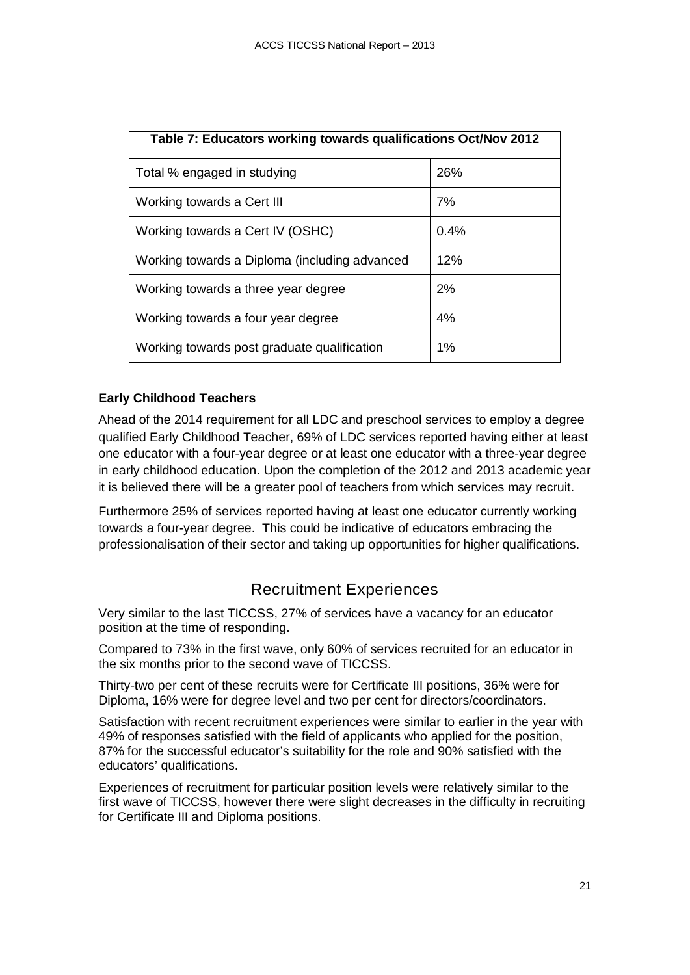<span id="page-20-1"></span>

| Table 7: Educators working towards qualifications Oct/Nov 2012 |      |  |
|----------------------------------------------------------------|------|--|
| Total % engaged in studying                                    | 26%  |  |
| Working towards a Cert III                                     | 7%   |  |
| Working towards a Cert IV (OSHC)                               | 0.4% |  |
| Working towards a Diploma (including advanced                  | 12%  |  |
| Working towards a three year degree                            | 2%   |  |
| Working towards a four year degree                             | 4%   |  |
| Working towards post graduate qualification                    | 1%   |  |

#### **Early Childhood Teachers**

Ahead of the 2014 requirement for all LDC and preschool services to employ a degree qualified Early Childhood Teacher, 69% of LDC services reported having either at least one educator with a four-year degree or at least one educator with a three-year degree in early childhood education. Upon the completion of the 2012 and 2013 academic year it is believed there will be a greater pool of teachers from which services may recruit.

Furthermore 25% of services reported having at least one educator currently working towards a four-year degree. This could be indicative of educators embracing the professionalisation of their sector and taking up opportunities for higher qualifications.

## Recruitment Experiences

<span id="page-20-0"></span>Very similar to the last TICCSS, 27% of services have a vacancy for an educator position at the time of responding.

Compared to 73% in the first wave, only 60% of services recruited for an educator in the six months prior to the second wave of TICCSS.

Thirty-two per cent of these recruits were for Certificate III positions, 36% were for Diploma, 16% were for degree level and two per cent for directors/coordinators.

Satisfaction with recent recruitment experiences were similar to earlier in the year with 49% of responses satisfied with the field of applicants who applied for the position, 87% for the successful educator's suitability for the role and 90% satisfied with the educators' qualifications.

Experiences of recruitment for particular position levels were relatively similar to the first wave of TICCSS, however there were slight decreases in the difficulty in recruiting for Certificate III and Diploma positions.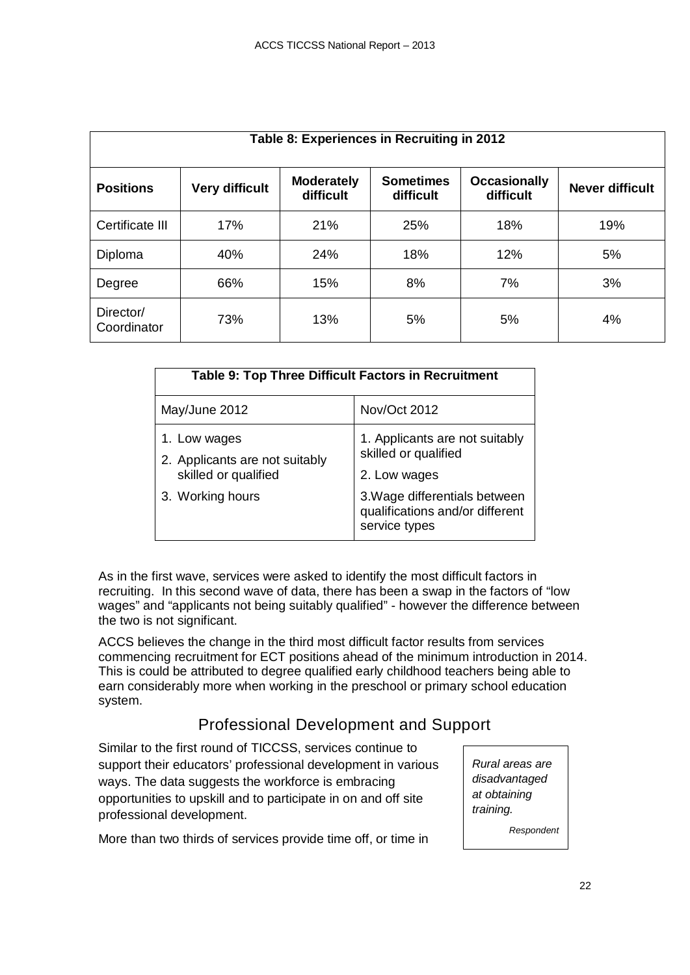<span id="page-21-1"></span>

| Table 8: Experiences in Recruiting in 2012 |                       |                                |                               |                                  |                        |
|--------------------------------------------|-----------------------|--------------------------------|-------------------------------|----------------------------------|------------------------|
| <b>Positions</b>                           | <b>Very difficult</b> | <b>Moderately</b><br>difficult | <b>Sometimes</b><br>difficult | <b>Occasionally</b><br>difficult | <b>Never difficult</b> |
| Certificate III                            | 17%                   | 21%                            | 25%                           | 18%                              | 19%                    |
| Diploma                                    | 40%                   | 24%                            | 18%                           | 12%                              | 5%                     |
| Degree                                     | 66%                   | 15%                            | 8%                            | 7%                               | 3%                     |
| Director/<br>Coordinator                   | 73%                   | 13%                            | 5%                            | 5%                               | 4%                     |

<span id="page-21-2"></span>

| <b>Table 9: Top Three Difficult Factors in Recruitment</b>             |                                                                                  |  |  |
|------------------------------------------------------------------------|----------------------------------------------------------------------------------|--|--|
| May/June 2012                                                          | Nov/Oct 2012                                                                     |  |  |
| 1. Low wages<br>2. Applicants are not suitably<br>skilled or qualified | 1. Applicants are not suitably<br>skilled or qualified                           |  |  |
| 3. Working hours                                                       | 2. Low wages<br>3. Wage differentials between<br>qualifications and/or different |  |  |
|                                                                        | service types                                                                    |  |  |

As in the first wave, services were asked to identify the most difficult factors in recruiting. In this second wave of data, there has been a swap in the factors of "low wages" and "applicants not being suitably qualified" - however the difference between the two is not significant.

ACCS believes the change in the third most difficult factor results from services commencing recruitment for ECT positions ahead of the minimum introduction in 2014. This is could be attributed to degree qualified early childhood teachers being able to earn considerably more when working in the preschool or primary school education system.

# Professional Development and Support

<span id="page-21-0"></span>Similar to the first round of TICCSS, services continue to support their educators' professional development in various ways. The data suggests the workforce is embracing opportunities to upskill and to participate in on and off site professional development.

More than two thirds of services provide time off, or time in

*Rural areas are disadvantaged at obtaining training.*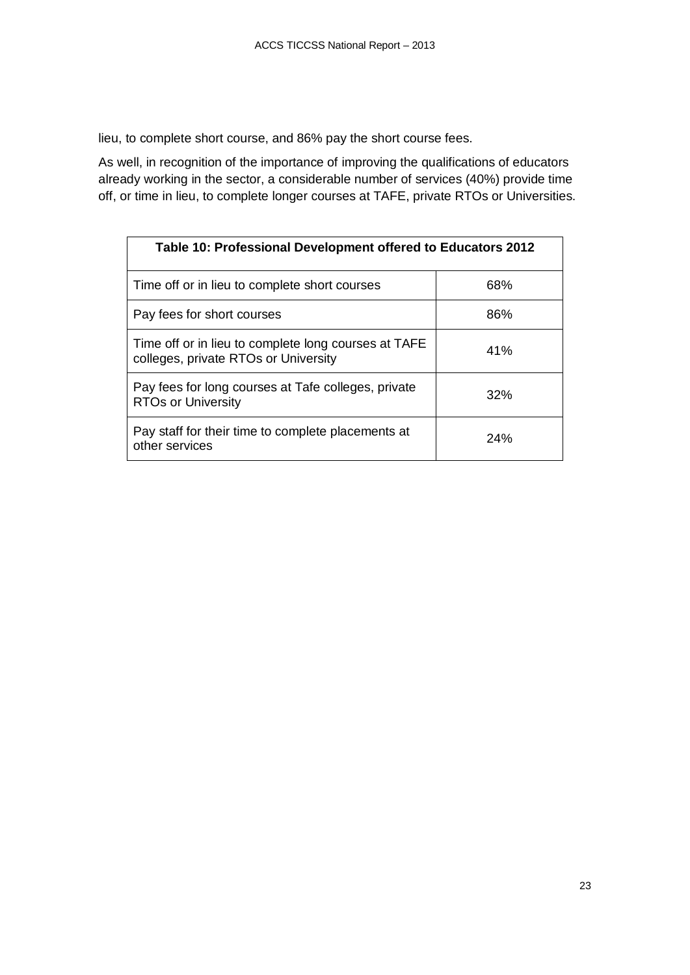lieu, to complete short course, and 86% pay the short course fees.

As well, in recognition of the importance of improving the qualifications of educators already working in the sector, a considerable number of services (40%) provide time off, or time in lieu, to complete longer courses at TAFE, private RTOs or Universities.

<span id="page-22-0"></span>

| Table 10: Professional Development offered to Educators 2012                                 |     |  |  |
|----------------------------------------------------------------------------------------------|-----|--|--|
| Time off or in lieu to complete short courses                                                | 68% |  |  |
| Pay fees for short courses                                                                   | 86% |  |  |
| Time off or in lieu to complete long courses at TAFE<br>colleges, private RTOs or University | 41% |  |  |
| Pay fees for long courses at Tafe colleges, private<br><b>RTOs or University</b>             | 32% |  |  |
| Pay staff for their time to complete placements at<br>other services                         | 24% |  |  |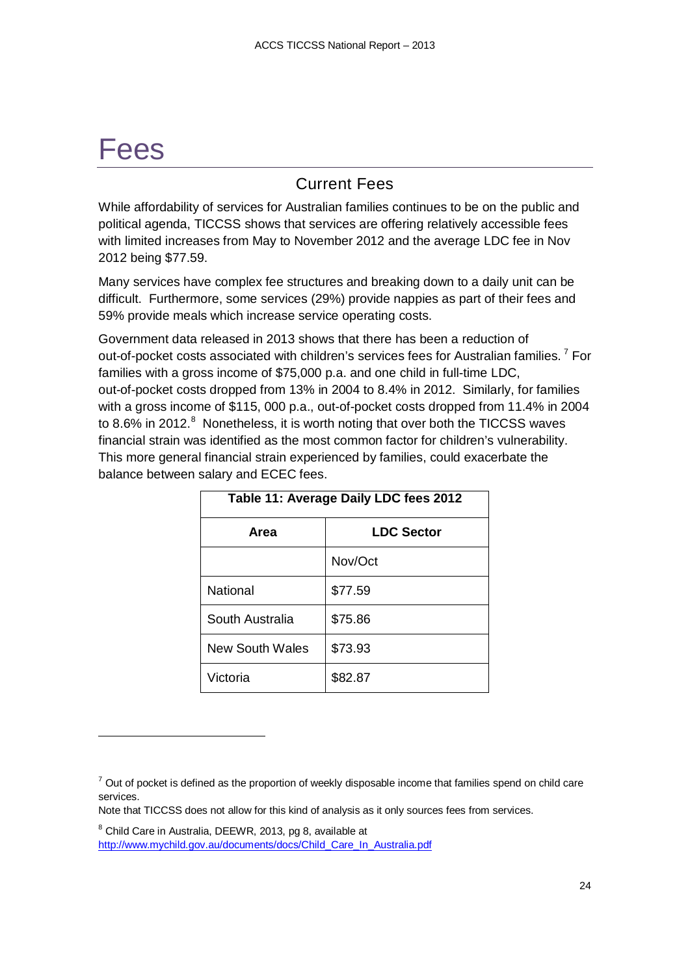# <span id="page-23-0"></span>Fees

-

## Current Fees

<span id="page-23-1"></span>While affordability of services for Australian families continues to be on the public and political agenda, TICCSS shows that services are offering relatively accessible fees with limited increases from May to November 2012 and the average LDC fee in Nov 2012 being \$77.59.

Many services have complex fee structures and breaking down to a daily unit can be difficult. Furthermore, some services (29%) provide nappies as part of their fees and 59% provide meals which increase service operating costs.

Government data released in 2013 shows that there has been a reduction of out-of-pocket costs associated with children's services fees for Australian families.<sup>[7](#page-23-3)</sup> For families with a gross income of \$75,000 p.a. and one child in full-time LDC, out-of-pocket costs dropped from 13% in 2004 to 8.4% in 2012. Similarly, for families with a gross income of \$115, 000 p.a., out-of-pocket costs dropped from 11.4% in 2004 to [8](#page-23-4).6% in 2012.<sup>8</sup> Nonetheless, it is worth noting that over both the TICCSS waves financial strain was identified as the most common factor for children's vulnerability. This more general financial strain experienced by families, could exacerbate the balance between salary and ECEC fees.

<span id="page-23-2"></span>

| Table 11: Average Daily LDC fees 2012 |                   |  |
|---------------------------------------|-------------------|--|
| Area                                  | <b>LDC Sector</b> |  |
|                                       | Nov/Oct           |  |
| <b>National</b>                       | \$77.59           |  |
| South Australia                       | \$75.86           |  |
| New South Wales                       | \$73.93           |  |
| Victoria                              | \$82.87           |  |

Note that TICCSS does not allow for this kind of analysis as it only sources fees from services.

<span id="page-23-4"></span><sup>8</sup> Child Care in Australia, DEEWR, 2013, pg 8, available at [http://www.mychild.gov.au/documents/docs/Child\\_Care\\_In\\_Australia.pdf](http://www.mychild.gov.au/documents/docs/Child_Care_In_Australia.pdf)

<span id="page-23-3"></span> $7$  Out of pocket is defined as the proportion of weekly disposable income that families spend on child care services.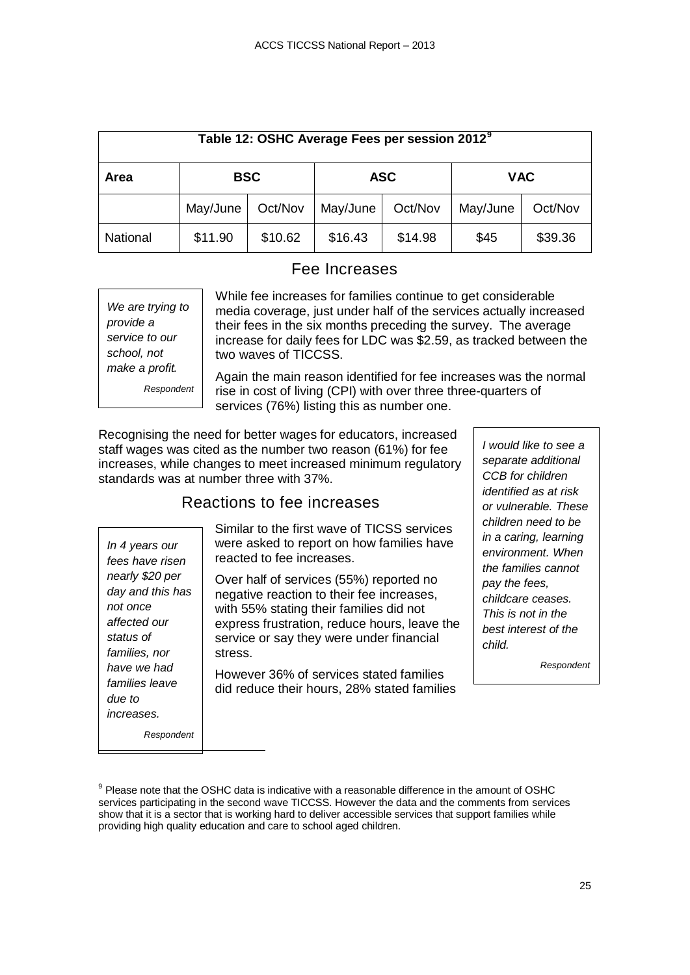<span id="page-24-2"></span>

| Table 12: OSHC Average Fees per session 2012 <sup>9</sup> |            |         |            |         |            |         |
|-----------------------------------------------------------|------------|---------|------------|---------|------------|---------|
| Area                                                      | <b>BSC</b> |         | <b>ASC</b> |         | <b>VAC</b> |         |
|                                                           | May/June   | Oct/Nov | May/June   | Oct/Nov | May/June   | Oct/Nov |
| National                                                  | \$11.90    | \$10.62 | \$16.43    | \$14.98 | \$45       | \$39.36 |

### Fee Increases

<span id="page-24-0"></span>

| We are trying to |  |  |
|------------------|--|--|
| provide a        |  |  |
| service to our   |  |  |
| school, not      |  |  |
| make a profit.   |  |  |
| Respondent       |  |  |

While fee increases for families continue to get considerable media coverage, just under half of the services actually increased their fees in the six months preceding the survey. The average increase for daily fees for LDC was \$2.59, as tracked between the two waves of TICCSS.

Again the main reason identified for fee increases was the normal rise in cost of living (CPI) with over three three-quarters of services (76%) listing this as number one.

Recognising the need for better wages for educators, increased staff wages was cited as the number two reason (61%) for fee increases, while changes to meet increased minimum regulatory standards was at number three with 37%.

## Reactions to fee increases

Similar to the first wave of TICSS services were asked to report on how families have reacted to fee increases.

Over half of services (55%) reported no negative reaction to their fee increases, with 55% stating their families did not express frustration, reduce hours, leave the service or say they were under financial stress.

However 36% of services stated families did reduce their hours, 28% stated families

*I would like to see a separate additional CCB for children identified as at risk or vulnerable. These children need to be in a caring, learning environment. When the families cannot pay the fees, childcare ceases. This is not in the best interest of the child.*

*Respondent*

*fees have risen nearly \$20 per day and this has not once affected our status of families, nor have we had families leave due to increases.*

<span id="page-24-1"></span>*In 4 years our* 

*Respondent*

L

<span id="page-24-3"></span><sup>&</sup>lt;sup>9</sup> Please note that the OSHC data is indicative with a reasonable difference in the amount of OSHC services participating in the second wave TICCSS. However the data and the comments from services show that it is a sector that is working hard to deliver accessible services that support families while providing high quality education and care to school aged children.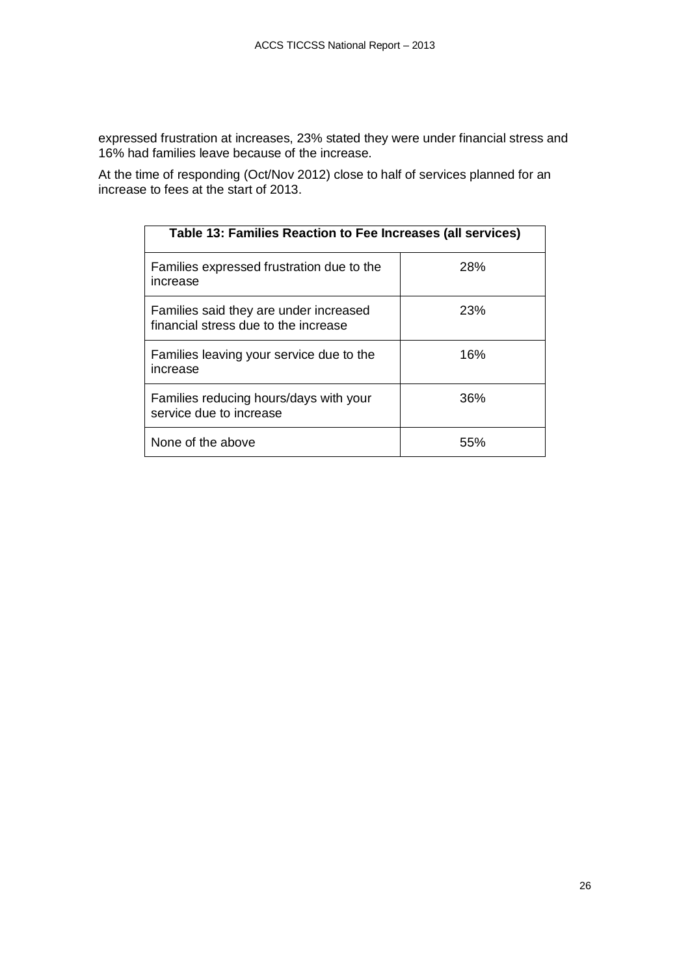expressed frustration at increases, 23% stated they were under financial stress and 16% had families leave because of the increase.

At the time of responding (Oct/Nov 2012) close to half of services planned for an increase to fees at the start of 2013.

<span id="page-25-0"></span>

| Table 13: Families Reaction to Fee Increases (all services)                    |     |  |  |
|--------------------------------------------------------------------------------|-----|--|--|
| Families expressed frustration due to the<br>increase                          | 28% |  |  |
| Families said they are under increased<br>financial stress due to the increase | 23% |  |  |
| Families leaving your service due to the<br>increase                           | 16% |  |  |
| Families reducing hours/days with your<br>service due to increase              | 36% |  |  |
| None of the above                                                              | 55% |  |  |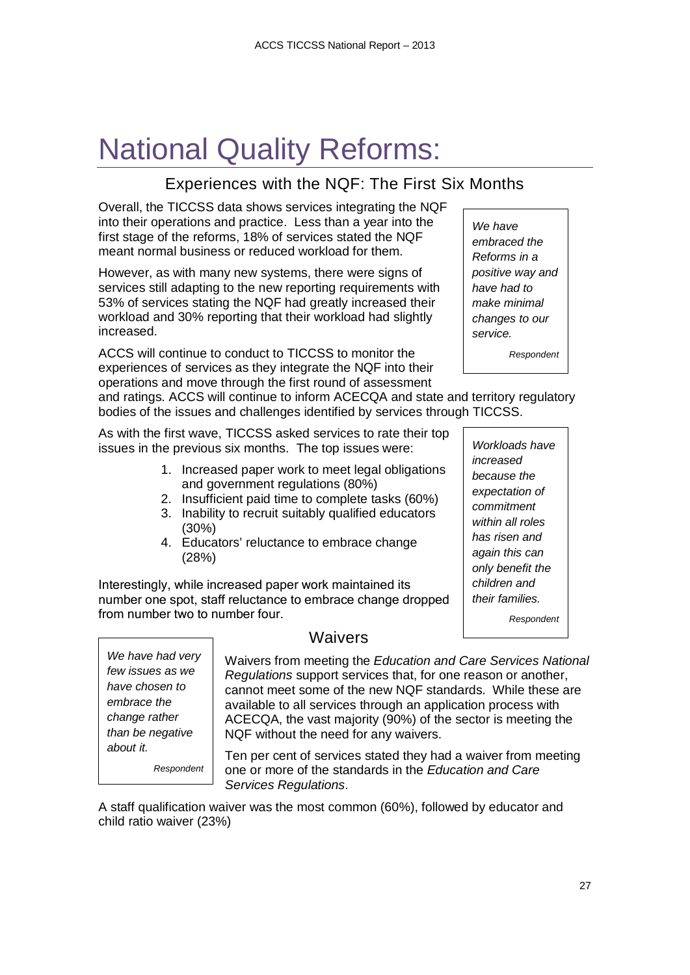# <span id="page-26-0"></span>National Quality Reforms:

# Experiences with the NQF: The First Six Months

<span id="page-26-1"></span>Overall, the TICCSS data shows services integrating the NQF into their operations and practice. Less than a year into the first stage of the reforms, 18% of services stated the NQF meant normal business or reduced workload for them.

However, as with many new systems, there were signs of services still adapting to the new reporting requirements with 53% of services stating the NQF had greatly increased their workload and 30% reporting that their workload had slightly increased.

ACCS will continue to conduct to TICCSS to monitor the experiences of services as they integrate the NQF into their operations and move through the first round of assessment

and ratings. ACCS will continue to inform ACECQA and state and territory regulatory bodies of the issues and challenges identified by services through TICCSS.

As with the first wave, TICCSS asked services to rate their top issues in the previous six months. The top issues were:

- 1. Increased paper work to meet legal obligations and government regulations (80%)
- 2. Insufficient paid time to complete tasks (60%)
- 3. Inability to recruit suitably qualified educators (30%)
- 4. Educators' reluctance to embrace change (28%)

Interestingly, while increased paper work maintained its number one spot, staff reluctance to embrace change dropped from number two to number four.

*We have had very few issues as we have chosen to embrace the change rather than be negative about it.*

Ī

*Respondent*

### **Waivers**

<span id="page-26-2"></span>Waivers from meeting the *Education and Care Services National Regulations* support services that, for one reason or another, cannot meet some of the new NQF standards. While these are available to all services through an application process with ACECQA, the vast majority (90%) of the sector is meeting the NQF without the need for any waivers.

Ten per cent of services stated they had a waiver from meeting one or more of the standards in the *Education and Care Services Regulations*.

A staff qualification waiver was the most common (60%), followed by educator and child ratio waiver (23%)

*We have embraced the Reforms in a positive way and have had to make minimal changes to our service.*

*Respondent*

*Workloads have increased because the expectation of commitment within all roles has risen and again this can only benefit the children and their families.*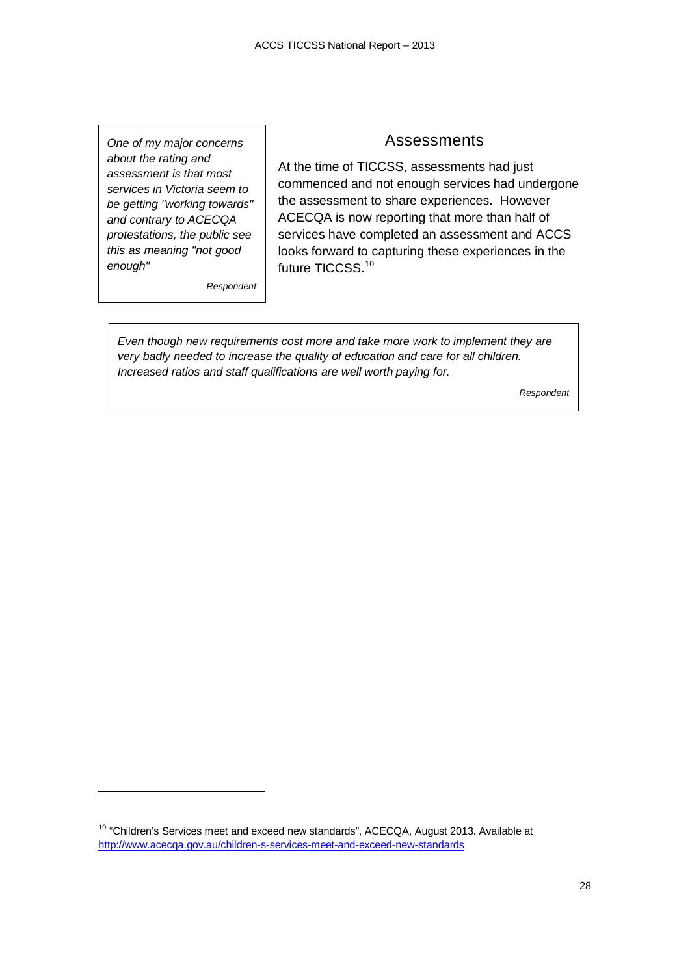*One of my major concerns about the rating and assessment is that most services in Victoria seem to be getting "working towards" and contrary to ACECQA protestations, the public see this as meaning "not good enough"*

*Respondent*

j

#### Assessments

<span id="page-27-0"></span>At the time of TICCSS, assessments had just commenced and not enough services had undergone the assessment to share experiences. However ACECQA is now reporting that more than half of services have completed an assessment and ACCS looks forward to capturing these experiences in the future TICCSS.<sup>[10](#page-27-1)</sup>

*Even though new requirements cost more and take more work to implement they are very badly needed to increase the quality of education and care for all children.* 

*Increased ratios and staff qualifications are well worth paying for.*

<span id="page-27-1"></span><sup>&</sup>lt;sup>10</sup> "Children's Services meet and exceed new standards", ACECQA, August 2013. Available at <http://www.acecqa.gov.au/children-s-services-meet-and-exceed-new-standards>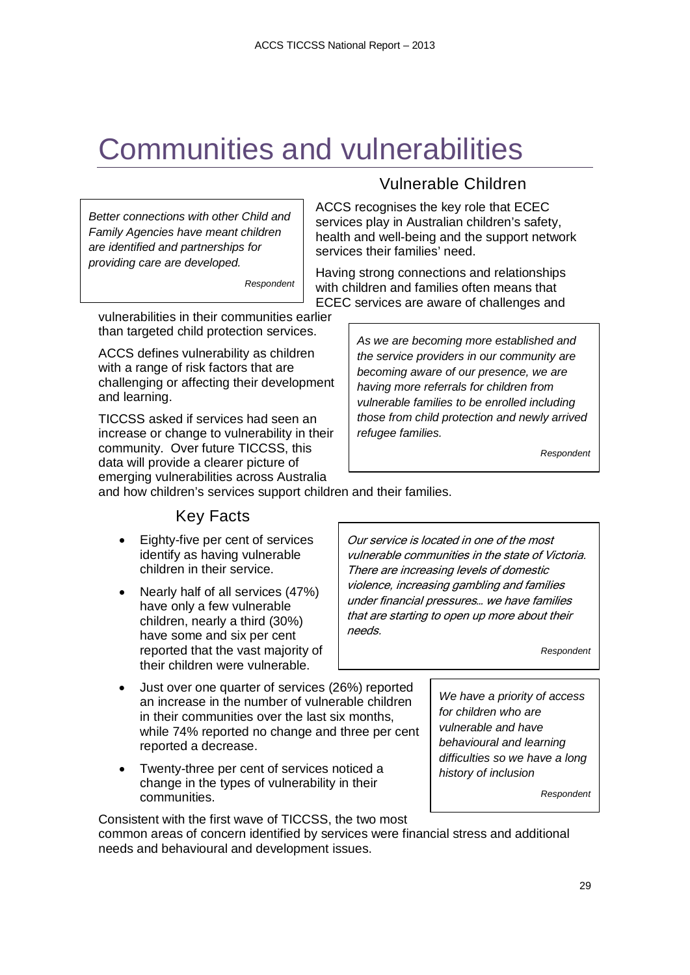# <span id="page-28-0"></span>Communities and vulnerabilities

*Better connections with other Child and Family Agencies have meant children are identified and partnerships for providing care are developed.*

*Respondent*

#### vulnerabilities in their communities earlier than targeted child protection services.

ACCS defines vulnerability as children with a range of risk factors that are challenging or affecting their development and learning.

TICCSS asked if services had seen an increase or change to vulnerability in their community. Over future TICCSS, this data will provide a clearer picture of emerging vulnerabilities across Australia

## Vulnerable Children

<span id="page-28-1"></span>ACCS recognises the key role that ECEC services play in Australian children's safety, health and well-being and the support network services their families' need.

Having strong connections and relationships with children and families often means that ECEC services are aware of challenges and

> *As we are becoming more established and the service providers in our community are becoming aware of our presence, we are having more referrals for children from vulnerable families to be enrolled including those from child protection and newly arrived refugee families.*

> > *Respondent*

<span id="page-28-2"></span>and how children's services support children and their families.

### Key Facts

- Eighty-five per cent of services identify as having vulnerable children in their service.
- Nearly half of all services (47%) have only a few vulnerable children, nearly a third (30%) have some and six per cent reported that the vast majority of their children were vulnerable.
- Just over one quarter of services (26%) reported an increase in the number of vulnerable children in their communities over the last six months, while 74% reported no change and three per cent reported a decrease.
- Twenty-three per cent of services noticed a change in the types of vulnerability in their communities.

Consistent with the first wave of TICCSS, the two most

common areas of concern identified by services were financial stress and additional needs and behavioural and development issues.

Our service is located in one of the most vulnerable communities in the state of Victoria. There are increasing levels of domestic violence, increasing gambling and families under financial pressures… we have families that are starting to open up more about their needs.

*Respondent*

*We have a priority of access for children who are vulnerable and have behavioural and learning difficulties so we have a long history of inclusion*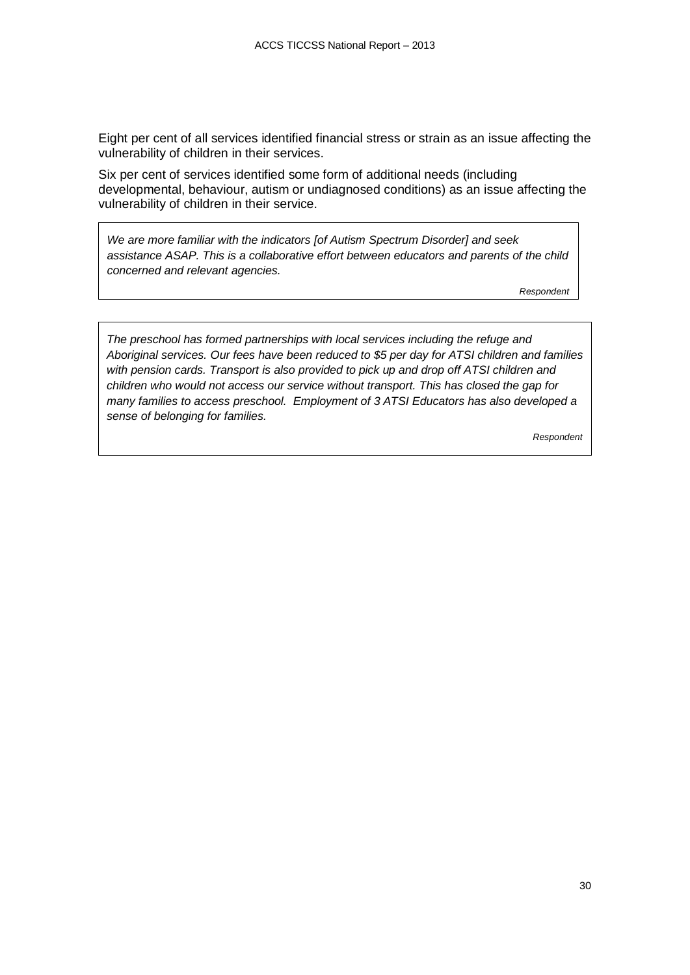Eight per cent of all services identified financial stress or strain as an issue affecting the vulnerability of children in their services.

Six per cent of services identified some form of additional needs (including developmental, behaviour, autism or undiagnosed conditions) as an issue affecting the vulnerability of children in their service.

*We are more familiar with the indicators [of Autism Spectrum Disorder] and seek assistance ASAP. This is a collaborative effort between educators and parents of the child concerned and relevant agencies.*

*Respondent*

*The preschool has formed partnerships with local services including the refuge and Aboriginal services. Our fees have been reduced to \$5 per day for ATSI children and families with pension cards. Transport is also provided to pick up and drop off ATSI children and children who would not access our service without transport. This has closed the gap for many families to access preschool. Employment of 3 ATSI Educators has also developed a sense of belonging for families.*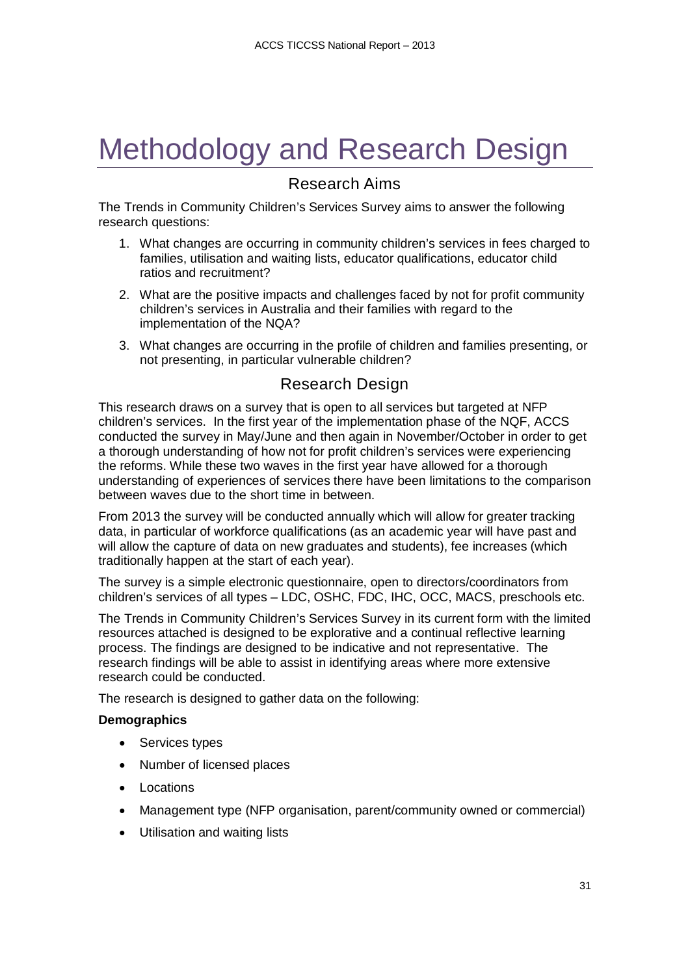# <span id="page-30-0"></span>Methodology and Research Design

## Research Aims

<span id="page-30-1"></span>The Trends in Community Children's Services Survey aims to answer the following research questions:

- 1. What changes are occurring in community children's services in fees charged to families, utilisation and waiting lists, educator qualifications, educator child ratios and recruitment?
- 2. What are the positive impacts and challenges faced by not for profit community children's services in Australia and their families with regard to the implementation of the NQA?
- 3. What changes are occurring in the profile of children and families presenting, or not presenting, in particular vulnerable children?

## Research Design

<span id="page-30-2"></span>This research draws on a survey that is open to all services but targeted at NFP children's services. In the first year of the implementation phase of the NQF, ACCS conducted the survey in May/June and then again in November/October in order to get a thorough understanding of how not for profit children's services were experiencing the reforms. While these two waves in the first year have allowed for a thorough understanding of experiences of services there have been limitations to the comparison between waves due to the short time in between.

From 2013 the survey will be conducted annually which will allow for greater tracking data, in particular of workforce qualifications (as an academic year will have past and will allow the capture of data on new graduates and students), fee increases (which traditionally happen at the start of each year).

The survey is a simple electronic questionnaire, open to directors/coordinators from children's services of all types – LDC, OSHC, FDC, IHC, OCC, MACS, preschools etc.

The Trends in Community Children's Services Survey in its current form with the limited resources attached is designed to be explorative and a continual reflective learning process. The findings are designed to be indicative and not representative. The research findings will be able to assist in identifying areas where more extensive research could be conducted.

The research is designed to gather data on the following:

#### **Demographics**

- Services types
- Number of licensed places
- Locations
- Management type (NFP organisation, parent/community owned or commercial)
- Utilisation and waiting lists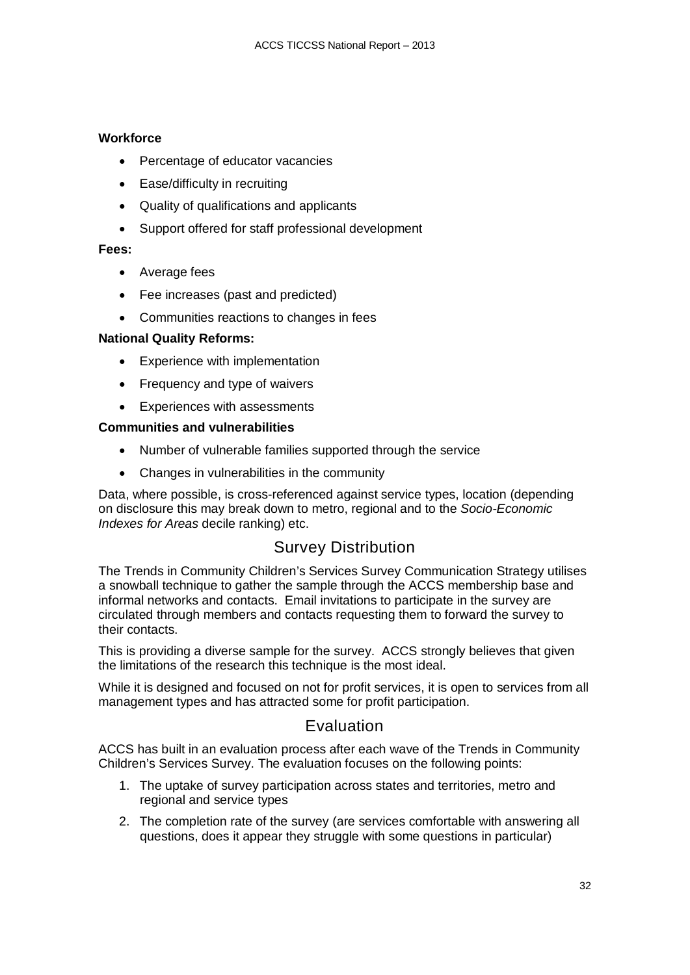#### **Workforce**

- Percentage of educator vacancies
- Ease/difficulty in recruiting
- Quality of qualifications and applicants
- Support offered for staff professional development

#### **Fees:**

- Average fees
- Fee increases (past and predicted)
- Communities reactions to changes in fees

#### **National Quality Reforms:**

- Experience with implementation
- Frequency and type of waivers
- Experiences with assessments

#### **Communities and vulnerabilities**

- Number of vulnerable families supported through the service
- Changes in vulnerabilities in the community

Data, where possible, is cross-referenced against service types, location (depending on disclosure this may break down to metro, regional and to the *Socio-Economic Indexes for Areas* decile ranking) etc.

### Survey Distribution

<span id="page-31-0"></span>The Trends in Community Children's Services Survey Communication Strategy utilises a snowball technique to gather the sample through the ACCS membership base and informal networks and contacts. Email invitations to participate in the survey are circulated through members and contacts requesting them to forward the survey to their contacts.

This is providing a diverse sample for the survey. ACCS strongly believes that given the limitations of the research this technique is the most ideal.

While it is designed and focused on not for profit services, it is open to services from all management types and has attracted some for profit participation.

### Evaluation

<span id="page-31-1"></span>ACCS has built in an evaluation process after each wave of the Trends in Community Children's Services Survey. The evaluation focuses on the following points:

- 1. The uptake of survey participation across states and territories, metro and regional and service types
- 2. The completion rate of the survey (are services comfortable with answering all questions, does it appear they struggle with some questions in particular)